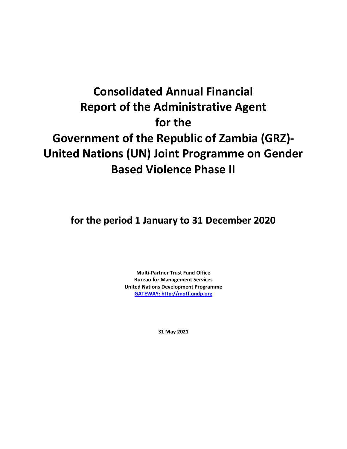# **Consolidated Annual Financial Report of the Administrative Agent for the Government of the Republic of Zambia (GRZ)- United Nations (UN) Joint Programme on Gender Based Violence Phase II**

**for the period 1 January to 31 December 2020**

**Multi-Partner Trust Fund Office Bureau for Management Services United Nations Development Programme [GATEWAY: http://mptf.undp.org](http://mptf.undp.org/)**

**31 May 2021**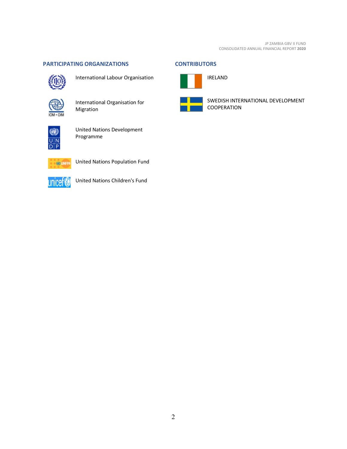#### <span id="page-1-0"></span>**PARTICIPATING ORGANIZATIONS CONTRIBUTORS**



International Labour Organisation



International Organisation for Migration



United Nations Development Programme



United Nations Population Fund



United Nations Children's Fund

<span id="page-1-1"></span>

SWEDISH INTERNATIONAL DEVELOPMENT COOPERATION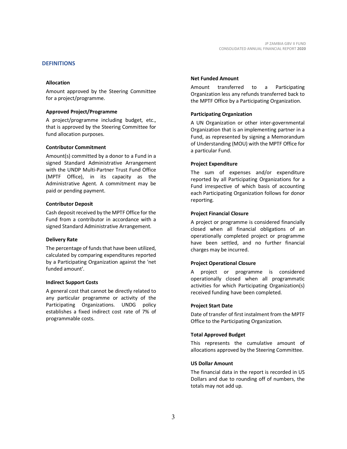#### <span id="page-2-0"></span>**DEFINITIONS**

#### **Allocation**

Amount approved by the Steering Committee for a project/programme.

#### **Approved Project/Programme**

A project/programme including budget, etc., that is approved by the Steering Committee for fund allocation purposes.

#### **Contributor Commitment**

Amount(s) committed by a donor to a Fund in a signed Standard Administrative Arrangement with the UNDP Multi-Partner Trust Fund Office (MPTF Office), in its capacity as the Administrative Agent. A commitment may be paid or pending payment.

#### **Contributor Deposit**

Cash deposit received by the MPTF Office for the Fund from a contributor in accordance with a signed Standard Administrative Arrangement.

#### **Delivery Rate**

The percentage of funds that have been utilized, calculated by comparing expenditures reported by a Participating Organization against the 'net funded amount'.

#### **Indirect Support Costs**

A general cost that cannot be directly related to any particular programme or activity of the Participating Organizations. UNDG policy establishes a fixed indirect cost rate of 7% of programmable costs.

#### **Net Funded Amount**

Amount transferred to a Participating Organization less any refunds transferred back to the MPTF Office by a Participating Organization.

#### **Participating Organization**

A UN Organization or other inter-governmental Organization that is an implementing partner in a Fund, as represented by signing a Memorandum of Understanding (MOU) with the MPTF Office for a particular Fund.

#### **Project Expenditure**

The sum of expenses and/or expenditure reported by all Participating Organizations for a Fund irrespective of which basis of accounting each Participating Organization follows for donor reporting.

#### **Project Financial Closure**

A project or programme is considered financially closed when all financial obligations of an operationally completed project or programme have been settled, and no further financial charges may be incurred.

#### **Project Operational Closure**

A project or programme is considered operationally closed when all programmatic activities for which Participating Organization(s) received funding have been completed.

#### **Project Start Date**

Date of transfer of first instalment from the MPTF Office to the Participating Organization.

#### **Total Approved Budget**

This represents the cumulative amount of allocations approved by the Steering Committee.

#### **US Dollar Amount**

The financial data in the report is recorded in US Dollars and due to rounding off of numbers, the totals may not add up.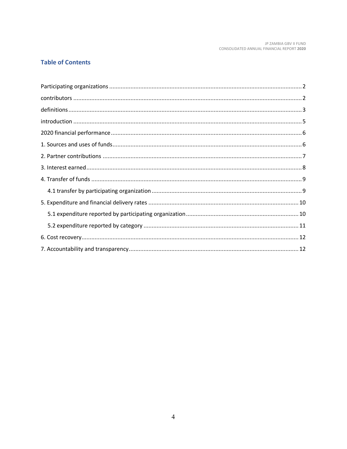## **Table of Contents**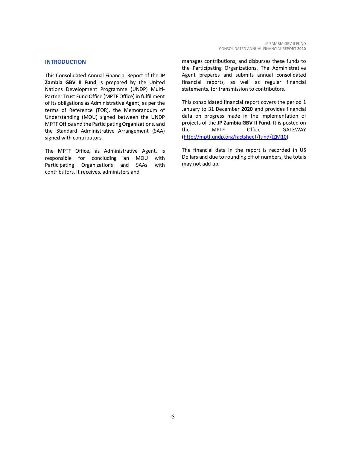#### <span id="page-4-0"></span>**INTRODUCTION**

This Consolidated Annual Financial Report of the **JP Zambia GBV II Fund** is prepared by the United Nations Development Programme (UNDP) Multi-Partner Trust Fund Office (MPTF Office) in fulfillment of its obligations as Administrative Agent, as per the terms of Reference (TOR), the Memorandum of Understanding (MOU) signed between the UNDP MPTF Office and the Participating Organizations, and the Standard Administrative Arrangement (SAA) signed with contributors.

The MPTF Office, as Administrative Agent, is responsible for concluding an MOU with Participating Organizations and SAAs with contributors. It receives, administers and

manages contributions, and disburses these funds to the Participating Organizations. The Administrative Agent prepares and submits annual consolidated financial reports, as well as regular financial statements, for transmission to contributors.

This consolidated financial report covers the period 1 January to 31 December **2020** and provides financial data on progress made in the implementation of projects of the **JP Zambia GBV II Fund**. It is posted on the MPTF Office GATEWAY [\(http://mptf.undp.org/factsheet/fund/JZM10\)](http://mptf.undp.org/factsheet/fund/JZM10).

The financial data in the report is recorded in US Dollars and due to rounding off of numbers, the totals may not add up.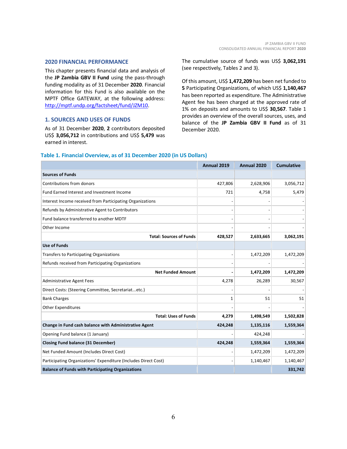#### <span id="page-5-0"></span>**2020 FINANCIAL PERFORMANCE**

This chapter presents financial data and analysis of the **JP Zambia GBV II Fund** using the pass-through funding modality as of 31 December **2020**. Financial information for this Fund is also available on the MPTF Office GATEWAY, at the following address: [http://mptf.undp.org/factsheet/fund/JZM10.](http://mptf.undp.org/factsheet/fund/JZM10)

#### <span id="page-5-1"></span>**1. SOURCES AND USES OF FUNDS**

As of 31 December **2020**, **2** contributors deposited US\$ **3,056,712** in contributions and US\$ **5,479** was earned in interest.

The cumulative source of funds was US\$ **3,062,191** (see respectively, Tables 2 and 3).

Of this amount, US\$ **1,472,209** has been net funded to **5** Participating Organizations, of which US\$ **1,140,467** has been reported as expenditure. The Administrative Agent fee has been charged at the approved rate of 1% on deposits and amounts to US\$ **30,567**. Table 1 provides an overview of the overall sources, uses, and balance of the **JP Zambia GBV II Fund** as of 31 December 2020.

#### **Table 1. Financial Overview, as of 31 December 2020 (in US Dollars)**

|                                                                 | Annual 2019 | Annual 2020 | <b>Cumulative</b> |
|-----------------------------------------------------------------|-------------|-------------|-------------------|
| <b>Sources of Funds</b>                                         |             |             |                   |
| Contributions from donors                                       | 427,806     | 2,628,906   | 3,056,712         |
| Fund Earned Interest and Investment Income                      | 721         | 4,758       | 5,479             |
| Interest Income received from Participating Organizations       |             |             |                   |
| Refunds by Administrative Agent to Contributors                 |             |             |                   |
| Fund balance transferred to another MDTF                        |             |             |                   |
| Other Income                                                    |             |             |                   |
| <b>Total: Sources of Funds</b>                                  | 428,527     | 2,633,665   | 3,062,191         |
| <b>Use of Funds</b>                                             |             |             |                   |
| <b>Transfers to Participating Organizations</b>                 |             | 1,472,209   | 1,472,209         |
| Refunds received from Participating Organizations               |             |             |                   |
| <b>Net Funded Amount</b>                                        |             | 1,472,209   | 1,472,209         |
| <b>Administrative Agent Fees</b>                                | 4,278       | 26,289      | 30,567            |
| Direct Costs: (Steering Committee, Secretariatetc.)             |             |             |                   |
| <b>Bank Charges</b>                                             | 1           | 51          | 51                |
| <b>Other Expenditures</b>                                       |             |             |                   |
| <b>Total: Uses of Funds</b>                                     | 4,279       | 1,498,549   | 1,502,828         |
| Change in Fund cash balance with Administrative Agent           | 424,248     | 1,135,116   | 1,559,364         |
| Opening Fund balance (1 January)                                |             | 424,248     |                   |
| <b>Closing Fund balance (31 December)</b>                       | 424,248     | 1,559,364   | 1,559,364         |
| Net Funded Amount (Includes Direct Cost)                        |             | 1,472,209   | 1,472,209         |
| Participating Organizations' Expenditure (Includes Direct Cost) |             | 1,140,467   | 1,140,467         |
| <b>Balance of Funds with Participating Organizations</b>        |             |             | 331,742           |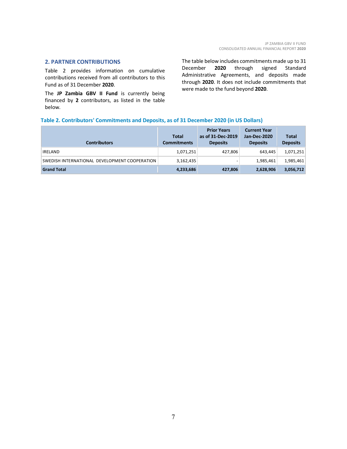#### <span id="page-6-0"></span>**2. PARTNER CONTRIBUTIONS**

Table 2 provides information on cumulative contributions received from all contributors to this Fund as of 31 December **2020**.

The **JP Zambia GBV II Fund** is currently being financed by **2** contributors, as listed in the table below.

The table below includes commitments made up to 31 December **2020** through signed Standard Administrative Agreements, and deposits made through **2020**. It does not include commitments that were made to the fund beyond **2020**.

#### **Table 2. Contributors' Commitments and Deposits, as of 31 December 2020 (in US Dollars)**

| <b>Contributors</b>                           | <b>Total</b><br><b>Commitments</b> | <b>Prior Years</b><br>as of 31-Dec-2019<br><b>Deposits</b> | <b>Current Year</b><br>Jan-Dec-2020<br><b>Deposits</b> | <b>Total</b><br><b>Deposits</b> |
|-----------------------------------------------|------------------------------------|------------------------------------------------------------|--------------------------------------------------------|---------------------------------|
| <b>IRELAND</b>                                | 1,071,251                          | 427,806                                                    | 643.445                                                | 1,071,251                       |
| SWEDISH INTERNATIONAL DEVELOPMENT COOPERATION | 3,162,435                          |                                                            | 1.985.461                                              | 1,985,461                       |
| <b>Grand Total</b>                            | 4,233,686                          | 427,806                                                    | 2,628,906                                              | 3,056,712                       |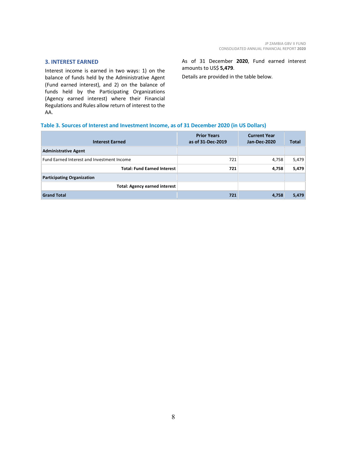#### <span id="page-7-0"></span>**3. INTEREST EARNED**

Interest income is earned in two ways: 1) on the balance of funds held by the Administrative Agent (Fund earned interest), and 2) on the balance of funds held by the Participating Organizations (Agency earned interest) where their Financial Regulations and Rules allow return of interest to the AA.

As of 31 December **2020**, Fund earned interest amounts to US\$ **5,479**.

Details are provided in the table below.

#### **Table 3. Sources of Interest and Investment Income, as of 31 December 2020 (in US Dollars)**

| <b>Interest Earned</b>                     | <b>Prior Years</b><br>as of 31-Dec-2019 | <b>Current Year</b><br>Jan-Dec-2020 | <b>Total</b> |
|--------------------------------------------|-----------------------------------------|-------------------------------------|--------------|
| <b>Administrative Agent</b>                |                                         |                                     |              |
| Fund Earned Interest and Investment Income | 721                                     | 4,758                               | 5,479        |
| <b>Total: Fund Earned Interest</b>         | 721                                     | 4,758                               | 5,479        |
| <b>Participating Organization</b>          |                                         |                                     |              |
| <b>Total: Agency earned interest</b>       |                                         |                                     |              |
| <b>Grand Total</b>                         | 721                                     | 4,758                               | 5,479        |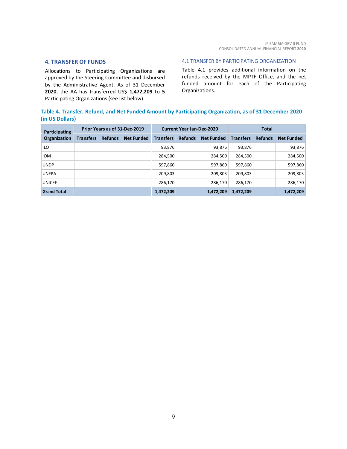#### <span id="page-8-0"></span>**4. TRANSFER OF FUNDS**

Allocations to Participating Organizations are approved by the Steering Committee and disbursed by the Administrative Agent. As of 31 December **2020**, the AA has transferred US\$ **1,472,209** to **5** Participating Organizations (see list below).

#### <span id="page-8-1"></span>4.1 TRANSFER BY PARTICIPATING ORGANIZATION

Table 4.1 provides additional information on the refunds received by the MPTF Office, and the net funded amount for each of the Participating Organizations.

### **Table 4. Transfer, Refund, and Net Funded Amount by Participating Organization, as of 31 December 2020 (in US Dollars)**

| Participating<br><b>Organization</b> | Prior Years as of 31-Dec-2019 |                |                   | <b>Current Year Jan-Dec-2020</b> |                |                   | <b>Total</b>     |                |                   |
|--------------------------------------|-------------------------------|----------------|-------------------|----------------------------------|----------------|-------------------|------------------|----------------|-------------------|
|                                      | <b>Transfers</b>              | <b>Refunds</b> | <b>Net Funded</b> | <b>Transfers</b>                 | <b>Refunds</b> | <b>Net Funded</b> | <b>Transfers</b> | <b>Refunds</b> | <b>Net Funded</b> |
| <b>ILO</b>                           |                               |                |                   | 93,876                           |                | 93,876            | 93,876           |                | 93,876            |
| <b>IOM</b>                           |                               |                |                   | 284,500                          |                | 284,500           | 284,500          |                | 284,500           |
| <b>UNDP</b>                          |                               |                |                   | 597,860                          |                | 597,860           | 597,860          |                | 597,860           |
| <b>UNFPA</b>                         |                               |                |                   | 209,803                          |                | 209,803           | 209,803          |                | 209,803           |
| <b>UNICEF</b>                        |                               |                |                   | 286,170                          |                | 286,170           | 286.170          |                | 286,170           |
| <b>Grand Total</b>                   |                               |                |                   | 1,472,209                        |                | 1,472,209         | 1,472,209        |                | 1,472,209         |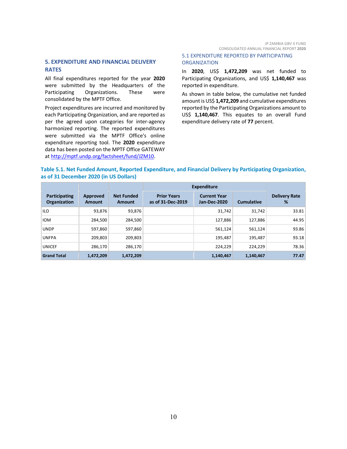#### <span id="page-9-0"></span>**5. EXPENDITURE AND FINANCIAL DELIVERY RATES**

All final expenditures reported for the year **2020** were submitted by the Headquarters of the Participating Organizations. These were consolidated by the MPTF Office.

Project expenditures are incurred and monitored by each Participating Organization, and are reported as per the agreed upon categories for inter-agency harmonized reporting. The reported expenditures were submitted via the MPTF Office's online expenditure reporting tool. The **2020** expenditure data has been posted on the MPTF Office GATEWAY at [http://mptf.undp.org/factsheet/fund/JZM10.](http://mptf.undp.org/factsheet/fund/JZM10)

#### <span id="page-9-1"></span>5.1 EXPENDITURE REPORTED BY PARTICIPATING **ORGANIZATION**

In **2020**, US\$ **1,472,209** was net funded to Participating Organizations, and US\$ 1,140,467 was reported in expenditure.

As shown in table below, the cumulative net funded amount is US\$ **1,472,209** and cumulative expenditures reported by the Participating Organizations amount to US\$ **1,140,467**. This equates to an overall Fund expenditure delivery rate of **77** percent.

#### **Table 5.1. Net Funded Amount, Reported Expenditure, and Financial Delivery by Participating Organization, as of 31 December 2020 (in US Dollars)**

|                               |                    |                             | <b>Expenditure</b>                      |                                            |                   |                           |
|-------------------------------|--------------------|-----------------------------|-----------------------------------------|--------------------------------------------|-------------------|---------------------------|
| Participating<br>Organization | Approved<br>Amount | <b>Net Funded</b><br>Amount | <b>Prior Years</b><br>as of 31-Dec-2019 | <b>Current Year</b><br><b>Jan-Dec-2020</b> | <b>Cumulative</b> | <b>Delivery Rate</b><br>% |
| <b>ILO</b>                    | 93,876             | 93,876                      |                                         | 31,742                                     | 31,742            | 33.81                     |
| <b>IOM</b>                    | 284.500            | 284.500                     |                                         | 127,886                                    | 127,886           | 44.95                     |
| <b>UNDP</b>                   | 597,860            | 597,860                     |                                         | 561,124                                    | 561,124           | 93.86                     |
| <b>UNFPA</b>                  | 209,803            | 209,803                     |                                         | 195,487                                    | 195,487           | 93.18                     |
| <b>UNICEF</b>                 | 286.170            | 286.170                     |                                         | 224.229                                    | 224.229           | 78.36                     |
| <b>Grand Total</b>            | 1,472,209          | 1,472,209                   |                                         | 1,140,467                                  | 1,140,467         | 77.47                     |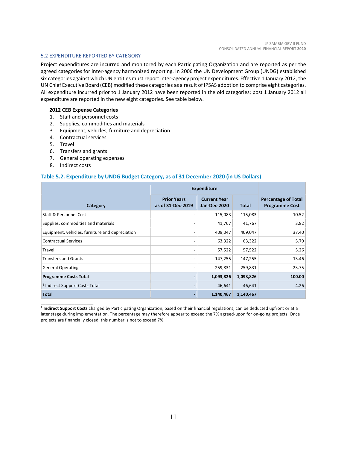#### <span id="page-10-0"></span>5.2 EXPENDITURE REPORTED BY CATEGORY

Project expenditures are incurred and monitored by each Participating Organization and are reported as per the agreed categories for inter-agency harmonized reporting. In 2006 the UN Development Group (UNDG) established six categories against which UN entities must report inter-agency project expenditures. Effective 1 January 2012, the UN Chief Executive Board (CEB) modified these categories as a result of IPSAS adoption to comprise eight categories. All expenditure incurred prior to 1 January 2012 have been reported in the old categories; post 1 January 2012 all expenditure are reported in the new eight categories. See table below.

#### **2012 CEB Expense Categories**

- 1. Staff and personnel costs
- 2. Supplies, commodities and materials
- 3. Equipment, vehicles, furniture and depreciation
- 4. Contractual services
- 5. Travel
- 6. Transfers and grants
- 7. General operating expenses
- 8. Indirect costs

\_\_\_\_\_\_\_\_\_\_\_\_\_\_\_\_\_\_\_\_\_\_

#### **Table 5.2. Expenditure by UNDG Budget Category, as of 31 December 2020 (in US Dollars)**

|                                                 | <b>Expenditure</b>                      |                                            |              |                                                     |
|-------------------------------------------------|-----------------------------------------|--------------------------------------------|--------------|-----------------------------------------------------|
| Category                                        | <b>Prior Years</b><br>as of 31-Dec-2019 | <b>Current Year</b><br><b>Jan-Dec-2020</b> | <b>Total</b> | <b>Percentage of Total</b><br><b>Programme Cost</b> |
| Staff & Personnel Cost                          |                                         | 115,083                                    | 115,083      | 10.52                                               |
| Supplies, commodities and materials             |                                         | 41,767                                     | 41,767       | 3.82                                                |
| Equipment, vehicles, furniture and depreciation |                                         | 409,047                                    | 409,047      | 37.40                                               |
| <b>Contractual Services</b>                     |                                         | 63,322                                     | 63,322       | 5.79                                                |
| Travel                                          | $\overline{\phantom{a}}$                | 57,522                                     | 57,522       | 5.26                                                |
| <b>Transfers and Grants</b>                     |                                         | 147,255                                    | 147,255      | 13.46                                               |
| <b>General Operating</b>                        |                                         | 259,831                                    | 259,831      | 23.75                                               |
| <b>Programme Costs Total</b>                    |                                         | 1,093,826                                  | 1,093,826    | 100.00                                              |
| <sup>1</sup> Indirect Support Costs Total       |                                         | 46,641                                     | 46,641       | 4.26                                                |
| <b>Total</b>                                    | $\overline{\phantom{0}}$                | 1,140,467                                  | 1,140,467    |                                                     |

**<sup>1</sup> Indirect Support Costs** charged by Participating Organization, based on their financial regulations, can be deducted upfront or at a later stage during implementation. The percentage may therefore appear to exceed the 7% agreed-upon for on-going projects. Once projects are financially closed, this number is not to exceed 7%.